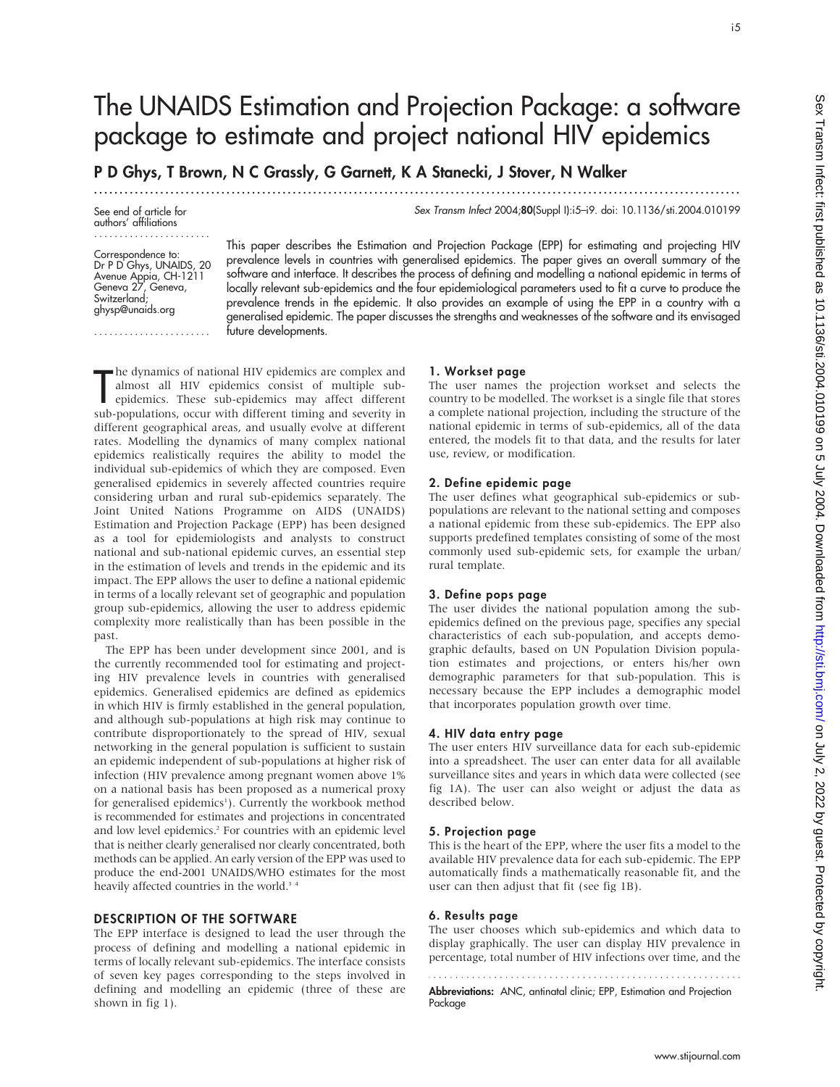i5

# The UNAIDS Estimation and Projection Package: a software package to estimate and project national HIV epidemics

...............................................................................................................................

P D Ghys, T Brown, N C Grassly, G Garnett, K A Stanecki, J Stover, N Walker

See end of article for authors' affiliations .......................

Correspondence to: Dr P D Ghys, UNAIDS, 20 Avenue Appia, CH-1211 Geneva 27, Geneva, Switzerland; ghysp@unaids.org

.......................

Sex Transm Infect 2004;80(Suppl I):i5–i9. doi: 10.1136/sti.2004.010199

This paper describes the Estimation and Projection Package (EPP) for estimating and projecting HIV prevalence levels in countries with generalised epidemics. The paper gives an overall summary of the software and interface. It describes the process of defining and modelling a national epidemic in terms of locally relevant sub-epidemics and the four epidemiological parameters used to fit a curve to produce the prevalence trends in the epidemic. It also provides an example of using the EPP in a country with a generalised epidemic. The paper discusses the strengths and weaknesses of the software and its envisaged future developments.

The dynamics of national HIV epidemics are complex and<br>almost all HIV epidemics consist of multiple sub-<br>epidemics. These sub-epidemics may affect different<br>sub-populations, occur with different timing and severity in he dynamics of national HIV epidemics are complex and almost all HIV epidemics consist of multiple subepidemics. These sub-epidemics may affect different different geographical areas, and usually evolve at different rates. Modelling the dynamics of many complex national epidemics realistically requires the ability to model the individual sub-epidemics of which they are composed. Even generalised epidemics in severely affected countries require considering urban and rural sub-epidemics separately. The Joint United Nations Programme on AIDS (UNAIDS) Estimation and Projection Package (EPP) has been designed as a tool for epidemiologists and analysts to construct national and sub-national epidemic curves, an essential step in the estimation of levels and trends in the epidemic and its impact. The EPP allows the user to define a national epidemic in terms of a locally relevant set of geographic and population group sub-epidemics, allowing the user to address epidemic complexity more realistically than has been possible in the past.

The EPP has been under development since 2001, and is the currently recommended tool for estimating and projecting HIV prevalence levels in countries with generalised epidemics. Generalised epidemics are defined as epidemics in which HIV is firmly established in the general population, and although sub-populations at high risk may continue to contribute disproportionately to the spread of HIV, sexual networking in the general population is sufficient to sustain an epidemic independent of sub-populations at higher risk of infection (HIV prevalence among pregnant women above 1% on a national basis has been proposed as a numerical proxy for generalised epidemics<sup>1</sup>). Currently the workbook method is recommended for estimates and projections in concentrated and low level epidemics.2 For countries with an epidemic level that is neither clearly generalised nor clearly concentrated, both methods can be applied. An early version of the EPP was used to produce the end-2001 UNAIDS/WHO estimates for the most heavily affected countries in the world.<sup>34</sup>

## DESCRIPTION OF THE SOFTWARE

The EPP interface is designed to lead the user through the process of defining and modelling a national epidemic in terms of locally relevant sub-epidemics. The interface consists of seven key pages corresponding to the steps involved in defining and modelling an epidemic (three of these are shown in fig 1).

#### 1. Workset page

The user names the projection workset and selects the country to be modelled. The workset is a single file that stores a complete national projection, including the structure of the national epidemic in terms of sub-epidemics, all of the data entered, the models fit to that data, and the results for later use, review, or modification.

## 2. Define epidemic page

The user defines what geographical sub-epidemics or subpopulations are relevant to the national setting and composes a national epidemic from these sub-epidemics. The EPP also supports predefined templates consisting of some of the most commonly used sub-epidemic sets, for example the urban/ rural template.

## 3. Define pops page

The user divides the national population among the subepidemics defined on the previous page, specifies any special characteristics of each sub-population, and accepts demographic defaults, based on UN Population Division population estimates and projections, or enters his/her own demographic parameters for that sub-population. This is necessary because the EPP includes a demographic model that incorporates population growth over time.

#### 4. HIV data entry page

The user enters HIV surveillance data for each sub-epidemic into a spreadsheet. The user can enter data for all available surveillance sites and years in which data were collected (see fig 1A). The user can also weight or adjust the data as described below.

## 5. Projection page

This is the heart of the EPP, where the user fits a model to the available HIV prevalence data for each sub-epidemic. The EPP automatically finds a mathematically reasonable fit, and the user can then adjust that fit (see fig 1B).

## 6. Results page

The user chooses which sub-epidemics and which data to display graphically. The user can display HIV prevalence in percentage, total number of HIV infections over time, and the

Abbreviations: ANC, antinatal clinic; EPP, Estimation and Projection Package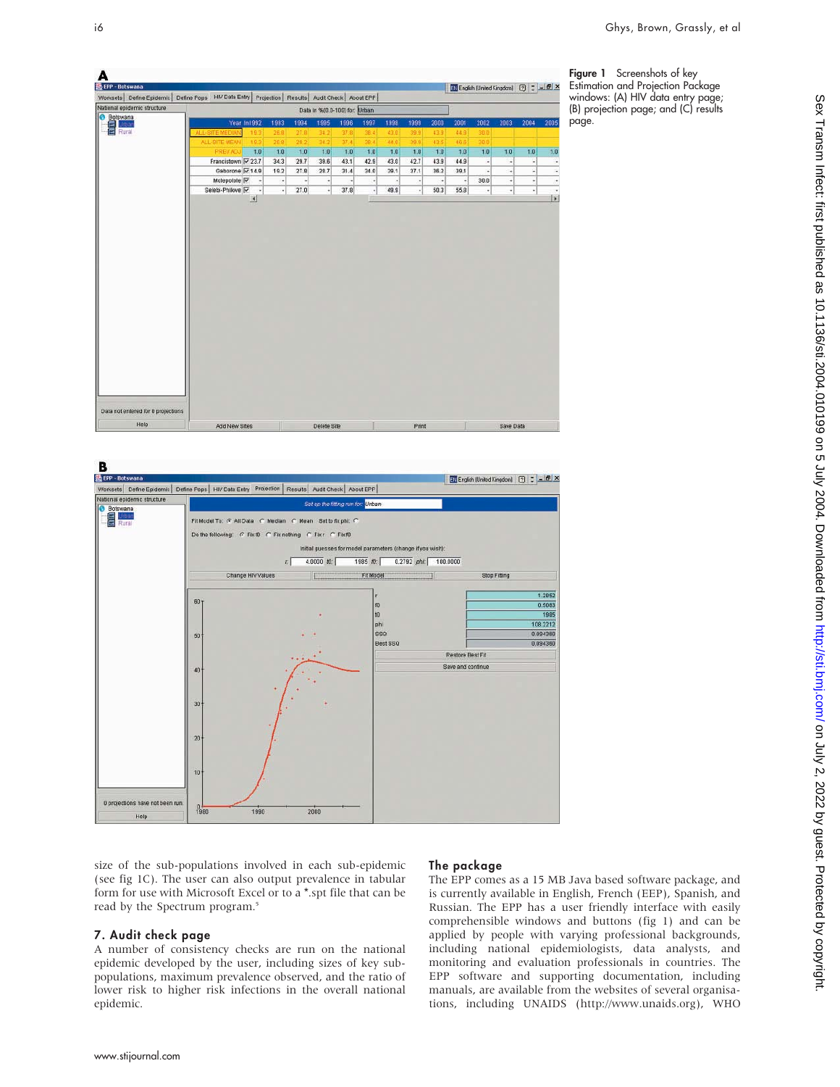



size of the sub-populations involved in each sub-epidemic (see fig 1C). The user can also output prevalence in tabular form for use with Microsoft Excel or to a \*.spt file that can be read by the Spectrum program.<sup>5</sup>

# 7. Audit check page

A number of consistency checks are run on the national epidemic developed by the user, including sizes of key subpopulations, maximum prevalence observed, and the ratio of lower risk to higher risk infections in the overall national epidemic.

## The package

The EPP comes as a 15 MB Java based software package, and is currently available in English, French (EEP), Spanish, and Russian. The EPP has a user friendly interface with easily comprehensible windows and buttons (fig 1) and can be applied by people with varying professional backgrounds, including national epidemiologists, data analysts, and monitoring and evaluation professionals in countries. The EPP software and supporting documentation, including manuals, are available from the websites of several organisations, including UNAIDS (http://www.unaids.org), WHO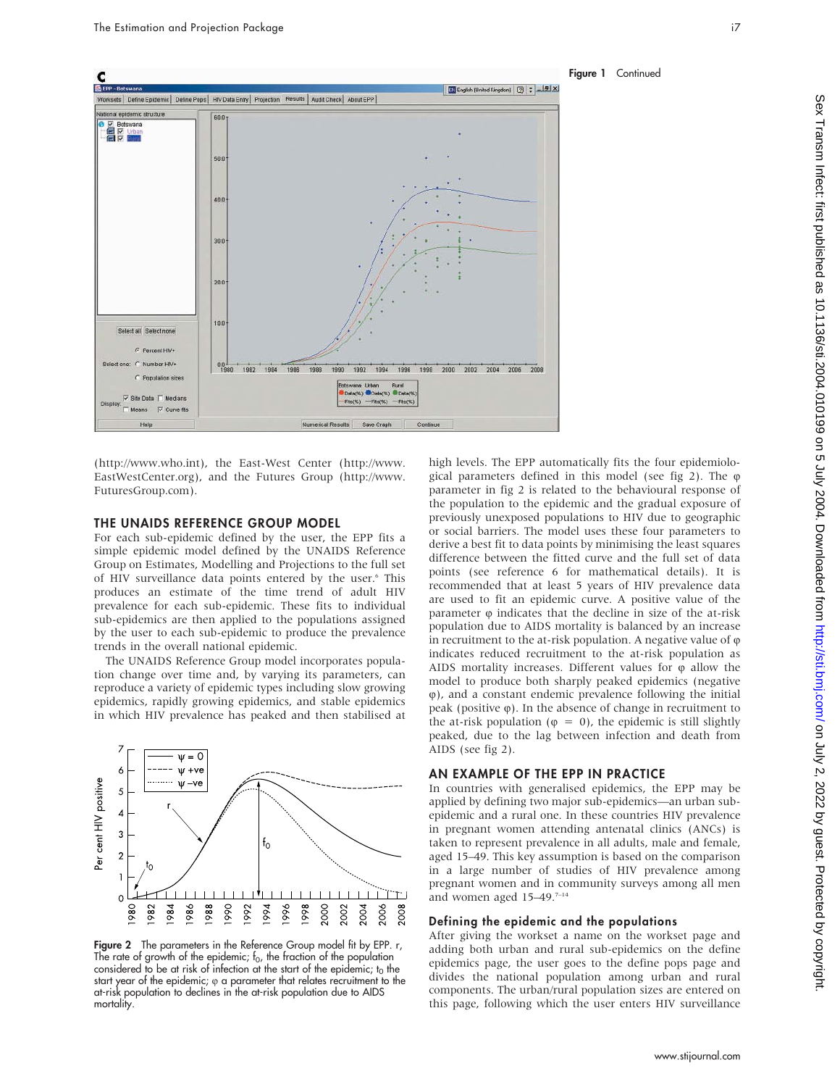

(http://www.who.int), the East-West Center (http://www. EastWestCenter.org), and the Futures Group (http://www. FuturesGroup.com).

#### THE UNAIDS REFERENCE GROUP MODEL

For each sub-epidemic defined by the user, the EPP fits a simple epidemic model defined by the UNAIDS Reference Group on Estimates, Modelling and Projections to the full set of HIV surveillance data points entered by the user.<sup>6</sup> This produces an estimate of the time trend of adult HIV prevalence for each sub-epidemic. These fits to individual sub-epidemics are then applied to the populations assigned by the user to each sub-epidemic to produce the prevalence trends in the overall national epidemic.

The UNAIDS Reference Group model incorporates population change over time and, by varying its parameters, can reproduce a variety of epidemic types including slow growing epidemics, rapidly growing epidemics, and stable epidemics in which HIV prevalence has peaked and then stabilised at



Figure 2 The parameters in the Reference Group model fit by EPP. r, The rate of growth of the epidemic;  $f_0$ , the fraction of the population considered to be at risk of infection at the start of the epidemic; to the start year of the epidemic;  $\varphi$  a parameter that relates recruitment to the at-risk population to declines in the at-risk population due to AIDS mortality.



high levels. The EPP automatically fits the four epidemiological parameters defined in this model (see fig 2). The  $\varphi$ parameter in fig 2 is related to the behavioural response of the population to the epidemic and the gradual exposure of previously unexposed populations to HIV due to geographic or social barriers. The model uses these four parameters to derive a best fit to data points by minimising the least squares difference between the fitted curve and the full set of data points (see reference 6 for mathematical details). It is recommended that at least 5 years of HIV prevalence data are used to fit an epidemic curve. A positive value of the parameter  $\varphi$  indicates that the decline in size of the at-risk population due to AIDS mortality is balanced by an increase in recruitment to the at-risk population. A negative value of  $\varphi$ indicates reduced recruitment to the at-risk population as AIDS mortality increases. Different values for  $\varphi$  allow the model to produce both sharply peaked epidemics (negative  $\varphi$ ), and a constant endemic prevalence following the initial peak (positive  $\varphi$ ). In the absence of change in recruitment to the at-risk population ( $\varphi = 0$ ), the epidemic is still slightly peaked, due to the lag between infection and death from AIDS (see fig 2).

#### AN EXAMPLE OF THE EPP IN PRACTICE

In countries with generalised epidemics, the EPP may be applied by defining two major sub-epidemics—an urban subepidemic and a rural one. In these countries HIV prevalence in pregnant women attending antenatal clinics (ANCs) is taken to represent prevalence in all adults, male and female, aged 15–49. This key assumption is based on the comparison in a large number of studies of HIV prevalence among pregnant women and in community surveys among all men and women aged  $15-49$ .<sup>7-14</sup>

#### Defining the epidemic and the populations

After giving the workset a name on the workset page and adding both urban and rural sub-epidemics on the define epidemics page, the user goes to the define pops page and divides the national population among urban and rural components. The urban/rural population sizes are entered on this page, following which the user enters HIV surveillance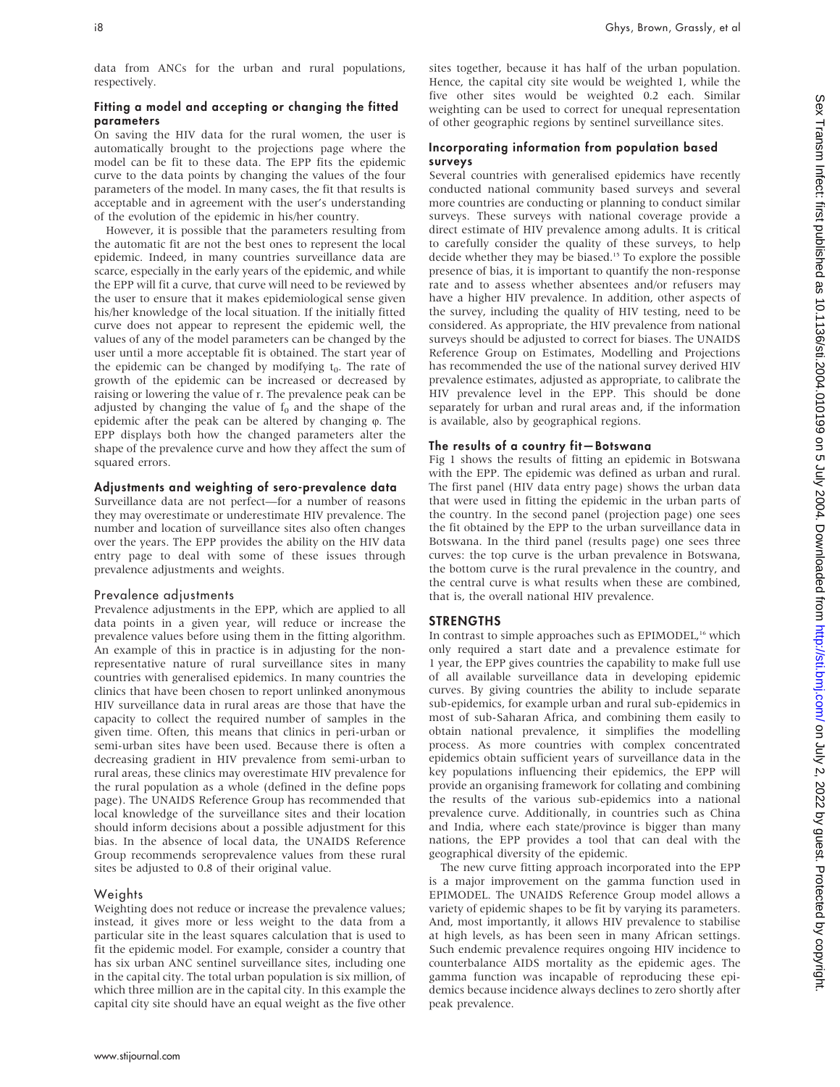data from ANCs for the urban and rural populations, respectively.

## Fitting a model and accepting or changing the fitted parameters

On saving the HIV data for the rural women, the user is automatically brought to the projections page where the model can be fit to these data. The EPP fits the epidemic curve to the data points by changing the values of the four parameters of the model. In many cases, the fit that results is acceptable and in agreement with the user's understanding of the evolution of the epidemic in his/her country.

However, it is possible that the parameters resulting from the automatic fit are not the best ones to represent the local epidemic. Indeed, in many countries surveillance data are scarce, especially in the early years of the epidemic, and while the EPP will fit a curve, that curve will need to be reviewed by the user to ensure that it makes epidemiological sense given his/her knowledge of the local situation. If the initially fitted curve does not appear to represent the epidemic well, the values of any of the model parameters can be changed by the user until a more acceptable fit is obtained. The start year of the epidemic can be changed by modifying  $t_0$ . The rate of growth of the epidemic can be increased or decreased by raising or lowering the value of r. The prevalence peak can be adjusted by changing the value of  $f_0$  and the shape of the epidemic after the peak can be altered by changing  $\varphi$ . The EPP displays both how the changed parameters alter the shape of the prevalence curve and how they affect the sum of squared errors.

#### Adjustments and weighting of sero-prevalence data

Surveillance data are not perfect—for a number of reasons they may overestimate or underestimate HIV prevalence. The number and location of surveillance sites also often changes over the years. The EPP provides the ability on the HIV data entry page to deal with some of these issues through prevalence adjustments and weights.

#### Prevalence adjustments

Prevalence adjustments in the EPP, which are applied to all data points in a given year, will reduce or increase the prevalence values before using them in the fitting algorithm. An example of this in practice is in adjusting for the nonrepresentative nature of rural surveillance sites in many countries with generalised epidemics. In many countries the clinics that have been chosen to report unlinked anonymous HIV surveillance data in rural areas are those that have the capacity to collect the required number of samples in the given time. Often, this means that clinics in peri-urban or semi-urban sites have been used. Because there is often a decreasing gradient in HIV prevalence from semi-urban to rural areas, these clinics may overestimate HIV prevalence for the rural population as a whole (defined in the define pops page). The UNAIDS Reference Group has recommended that local knowledge of the surveillance sites and their location should inform decisions about a possible adjustment for this bias. In the absence of local data, the UNAIDS Reference Group recommends seroprevalence values from these rural sites be adjusted to 0.8 of their original value.

#### Weights

Weighting does not reduce or increase the prevalence values; instead, it gives more or less weight to the data from a particular site in the least squares calculation that is used to fit the epidemic model. For example, consider a country that has six urban ANC sentinel surveillance sites, including one in the capital city. The total urban population is six million, of which three million are in the capital city. In this example the capital city site should have an equal weight as the five other sites together, because it has half of the urban population. Hence, the capital city site would be weighted 1, while the five other sites would be weighted 0.2 each. Similar weighting can be used to correct for unequal representation of other geographic regions by sentinel surveillance sites.

## Incorporating information from population based surveys

Several countries with generalised epidemics have recently conducted national community based surveys and several more countries are conducting or planning to conduct similar surveys. These surveys with national coverage provide a direct estimate of HIV prevalence among adults. It is critical to carefully consider the quality of these surveys, to help decide whether they may be biased.15 To explore the possible presence of bias, it is important to quantify the non-response rate and to assess whether absentees and/or refusers may have a higher HIV prevalence. In addition, other aspects of the survey, including the quality of HIV testing, need to be considered. As appropriate, the HIV prevalence from national surveys should be adjusted to correct for biases. The UNAIDS Reference Group on Estimates, Modelling and Projections has recommended the use of the national survey derived HIV prevalence estimates, adjusted as appropriate, to calibrate the HIV prevalence level in the EPP. This should be done separately for urban and rural areas and, if the information is available, also by geographical regions.

### The results of a country fit—Botswana

Fig 1 shows the results of fitting an epidemic in Botswana with the EPP. The epidemic was defined as urban and rural. The first panel (HIV data entry page) shows the urban data that were used in fitting the epidemic in the urban parts of the country. In the second panel (projection page) one sees the fit obtained by the EPP to the urban surveillance data in Botswana. In the third panel (results page) one sees three curves: the top curve is the urban prevalence in Botswana, the bottom curve is the rural prevalence in the country, and the central curve is what results when these are combined, that is, the overall national HIV prevalence.

#### **STRENGTHS**

In contrast to simple approaches such as EPIMODEL,<sup>16</sup> which only required a start date and a prevalence estimate for 1 year, the EPP gives countries the capability to make full use of all available surveillance data in developing epidemic curves. By giving countries the ability to include separate sub-epidemics, for example urban and rural sub-epidemics in most of sub-Saharan Africa, and combining them easily to obtain national prevalence, it simplifies the modelling process. As more countries with complex concentrated epidemics obtain sufficient years of surveillance data in the key populations influencing their epidemics, the EPP will provide an organising framework for collating and combining the results of the various sub-epidemics into a national prevalence curve. Additionally, in countries such as China and India, where each state/province is bigger than many nations, the EPP provides a tool that can deal with the geographical diversity of the epidemic.

The new curve fitting approach incorporated into the EPP is a major improvement on the gamma function used in EPIMODEL. The UNAIDS Reference Group model allows a variety of epidemic shapes to be fit by varying its parameters. And, most importantly, it allows HIV prevalence to stabilise at high levels, as has been seen in many African settings. Such endemic prevalence requires ongoing HIV incidence to counterbalance AIDS mortality as the epidemic ages. The gamma function was incapable of reproducing these epidemics because incidence always declines to zero shortly after peak prevalence.